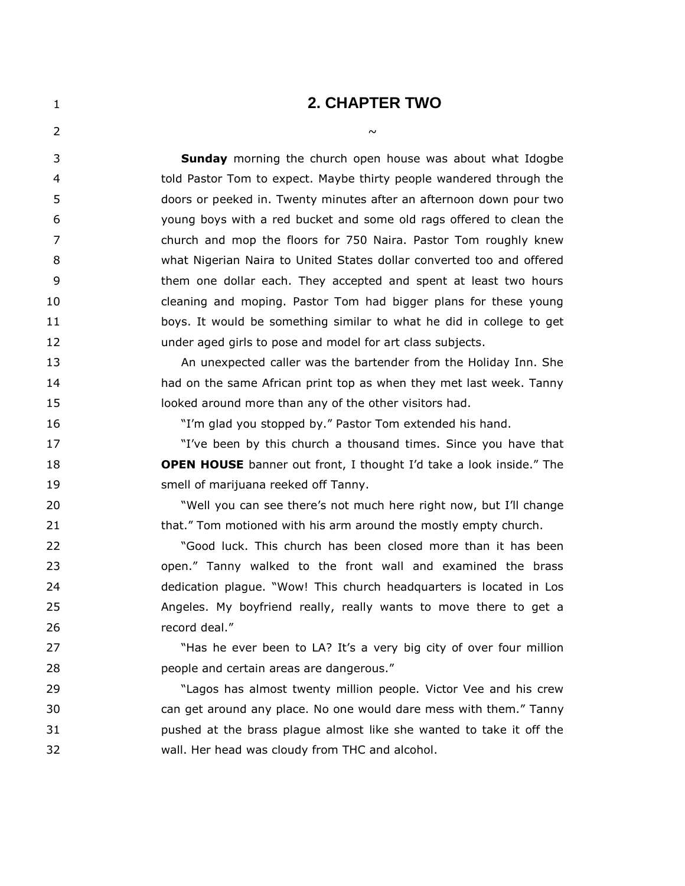## **2. CHAPTER TWO**

| 2  | $\sim$                                                                     |
|----|----------------------------------------------------------------------------|
| 3  | <b>Sunday</b> morning the church open house was about what Idogbe          |
| 4  | told Pastor Tom to expect. Maybe thirty people wandered through the        |
| 5  | doors or peeked in. Twenty minutes after an afternoon down pour two        |
| 6  | young boys with a red bucket and some old rags offered to clean the        |
| 7  | church and mop the floors for 750 Naira. Pastor Tom roughly knew           |
| 8  | what Nigerian Naira to United States dollar converted too and offered      |
| 9  | them one dollar each. They accepted and spent at least two hours           |
| 10 | cleaning and moping. Pastor Tom had bigger plans for these young           |
| 11 | boys. It would be something similar to what he did in college to get       |
| 12 | under aged girls to pose and model for art class subjects.                 |
| 13 | An unexpected caller was the bartender from the Holiday Inn. She           |
| 14 | had on the same African print top as when they met last week. Tanny        |
| 15 | looked around more than any of the other visitors had.                     |
| 16 | "I'm glad you stopped by." Pastor Tom extended his hand.                   |
| 17 | "I've been by this church a thousand times. Since you have that            |
| 18 | <b>OPEN HOUSE</b> banner out front, I thought I'd take a look inside." The |
| 19 | smell of marijuana reeked off Tanny.                                       |
| 20 | "Well you can see there's not much here right now, but I'll change         |
| 21 | that." Tom motioned with his arm around the mostly empty church.           |
| 22 | "Good luck. This church has been closed more than it has been              |
| 23 | open." Tanny walked to the front wall and examined the brass               |
| 24 | dedication plague. "Wow! This church headquarters is located in Los        |
| 25 | Angeles. My boyfriend really, really wants to move there to get a          |
| 26 | record deal."                                                              |
| 27 | "Has he ever been to LA? It's a very big city of over four million         |
| 28 | people and certain areas are dangerous."                                   |
| 29 | "Lagos has almost twenty million people. Victor Vee and his crew           |
| 30 | can get around any place. No one would dare mess with them." Tanny         |

 pushed at the brass plague almost like she wanted to take it off the wall. Her head was cloudy from THC and alcohol.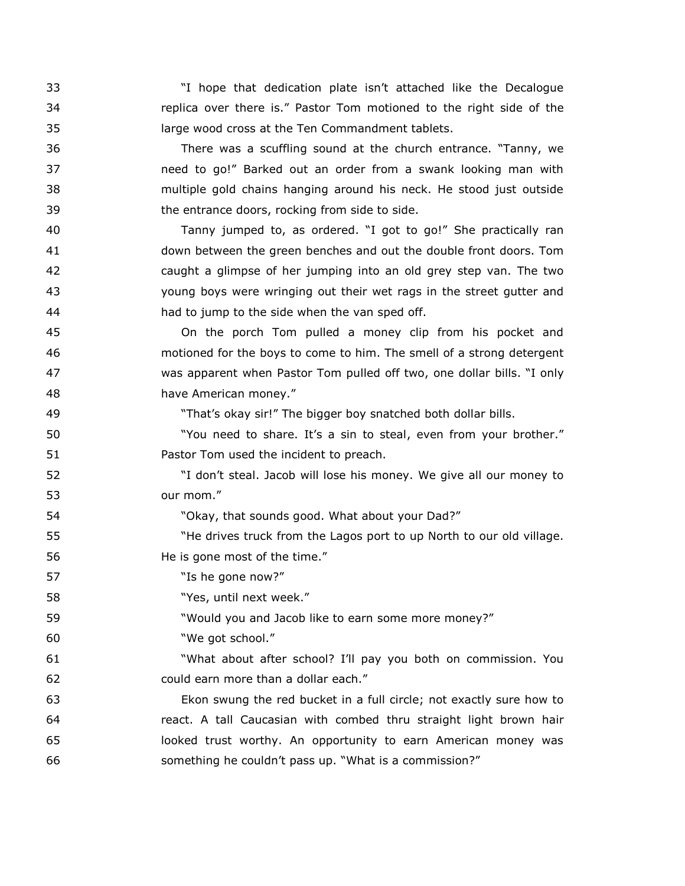"I hope that dedication plate isn't attached like the Decalogue replica over there is." Pastor Tom motioned to the right side of the large wood cross at the Ten Commandment tablets.

 There was a scuffling sound at the church entrance. "Tanny, we need to go!" Barked out an order from a swank looking man with multiple gold chains hanging around his neck. He stood just outside the entrance doors, rocking from side to side.

 Tanny jumped to, as ordered. "I got to go!" She practically ran down between the green benches and out the double front doors. Tom caught a glimpse of her jumping into an old grey step van. The two young boys were wringing out their wet rags in the street gutter and had to jump to the side when the van sped off.

 On the porch Tom pulled a money clip from his pocket and motioned for the boys to come to him. The smell of a strong detergent was apparent when Pastor Tom pulled off two, one dollar bills. "I only have American money."

"That's okay sir!" The bigger boy snatched both dollar bills.

50 "You need to share. It's a sin to steal, even from your brother." Pastor Tom used the incident to preach.

 "I don't steal. Jacob will lose his money. We give all our money to our mom."

"Okay, that sounds good. What about your Dad?"

55 The drives truck from the Lagos port to up North to our old village. He is gone most of the time."

**"Is he gone now?"** 

"Yes, until next week."

"Would you and Jacob like to earn some more money?"

"We got school."

 "What about after school? I'll pay you both on commission. You could earn more than a dollar each."

 Ekon swung the red bucket in a full circle; not exactly sure how to react. A tall Caucasian with combed thru straight light brown hair looked trust worthy. An opportunity to earn American money was something he couldn't pass up. "What is a commission?"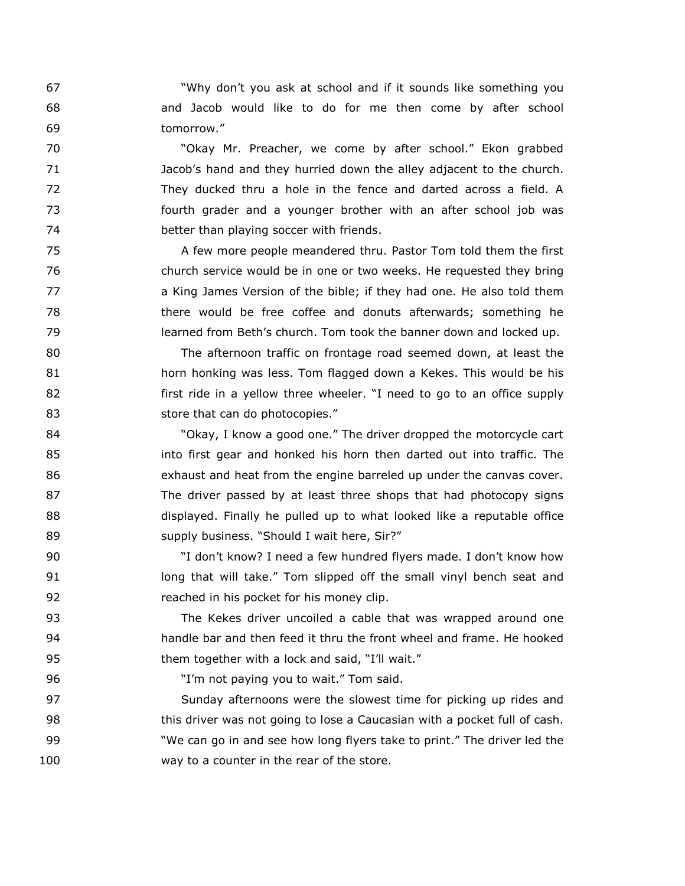"Why don't you ask at school and if it sounds like something you and Jacob would like to do for me then come by after school tomorrow."

 "Okay Mr. Preacher, we come by after school." Ekon grabbed Jacob's hand and they hurried down the alley adjacent to the church. They ducked thru a hole in the fence and darted across a field. A fourth grader and a younger brother with an after school job was better than playing soccer with friends.

 A few more people meandered thru. Pastor Tom told them the first church service would be in one or two weeks. He requested they bring a King James Version of the bible; if they had one. He also told them there would be free coffee and donuts afterwards; something he learned from Beth's church. Tom took the banner down and locked up.

 The afternoon traffic on frontage road seemed down, at least the horn honking was less. Tom flagged down a Kekes. This would be his **first ride in a yellow three wheeler.** "I need to go to an office supply 83 store that can do photocopies."

**SALL COM** TO COMPONE TO SALL THE driver dropped the motorcycle cart into first gear and honked his horn then darted out into traffic. The exhaust and heat from the engine barreled up under the canvas cover. The driver passed by at least three shops that had photocopy signs displayed. Finally he pulled up to what looked like a reputable office 89 supply business. "Should I wait here, Sir?"

 "I don't know? I need a few hundred flyers made. I don't know how long that will take." Tom slipped off the small vinyl bench seat and reached in his pocket for his money clip.

 The Kekes driver uncoiled a cable that was wrapped around one handle bar and then feed it thru the front wheel and frame. He hooked them together with a lock and said, "I'll wait."

"I'm not paying you to wait." Tom said.

 Sunday afternoons were the slowest time for picking up rides and this driver was not going to lose a Caucasian with a pocket full of cash. "We can go in and see how long flyers take to print." The driver led the way to a counter in the rear of the store.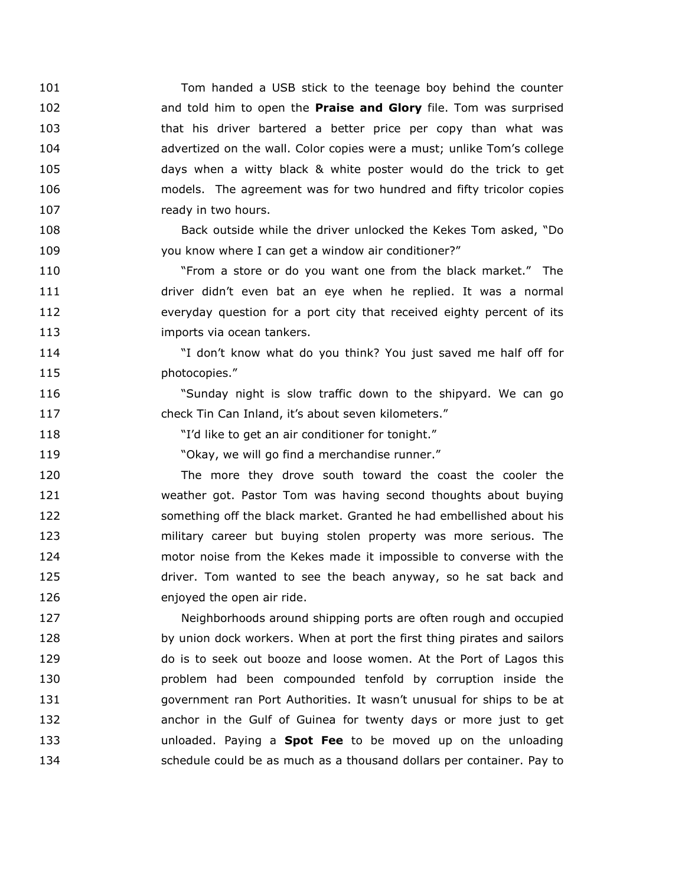Tom handed a USB stick to the teenage boy behind the counter and told him to open the **Praise and Glory** file. Tom was surprised that his driver bartered a better price per copy than what was advertized on the wall. Color copies were a must; unlike Tom's college days when a witty black & white poster would do the trick to get models. The agreement was for two hundred and fifty tricolor copies 107 ready in two hours.

 Back outside while the driver unlocked the Kekes Tom asked, "Do you know where I can get a window air conditioner?"

 "From a store or do you want one from the black market." The driver didn't even bat an eye when he replied. It was a normal everyday question for a port city that received eighty percent of its **imports via ocean tankers.** 

 "I don't know what do you think? You just saved me half off for 115 photocopies."

 "Sunday night is slow traffic down to the shipyard. We can go check Tin Can Inland, it's about seven kilometers."

"I'd like to get an air conditioner for tonight."

"Okay, we will go find a merchandise runner."

 The more they drove south toward the coast the cooler the weather got. Pastor Tom was having second thoughts about buying something off the black market. Granted he had embellished about his military career but buying stolen property was more serious. The motor noise from the Kekes made it impossible to converse with the driver. Tom wanted to see the beach anyway, so he sat back and 126 enjoyed the open air ride.

 Neighborhoods around shipping ports are often rough and occupied 128 by union dock workers. When at port the first thing pirates and sailors do is to seek out booze and loose women. At the Port of Lagos this problem had been compounded tenfold by corruption inside the government ran Port Authorities. It wasn't unusual for ships to be at anchor in the Gulf of Guinea for twenty days or more just to get unloaded. Paying a **Spot Fee** to be moved up on the unloading schedule could be as much as a thousand dollars per container. Pay to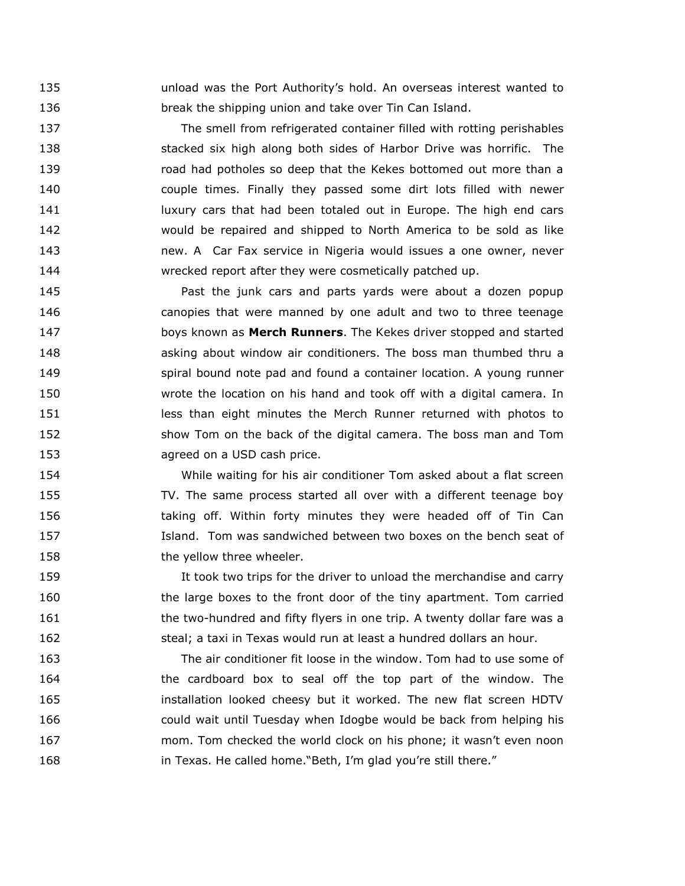unload was the Port Authority's hold. An overseas interest wanted to break the shipping union and take over Tin Can Island.

 The smell from refrigerated container filled with rotting perishables stacked six high along both sides of Harbor Drive was horrific. The road had potholes so deep that the Kekes bottomed out more than a couple times. Finally they passed some dirt lots filled with newer **Iuxury cars that had been totaled out in Europe. The high end cars**  would be repaired and shipped to North America to be sold as like new. A Car Fax service in Nigeria would issues a one owner, never wrecked report after they were cosmetically patched up.

 Past the junk cars and parts yards were about a dozen popup canopies that were manned by one adult and two to three teenage boys known as **Merch Runners**. The Kekes driver stopped and started asking about window air conditioners. The boss man thumbed thru a spiral bound note pad and found a container location. A young runner wrote the location on his hand and took off with a digital camera. In **ince its ince than eight minutes the Merch Runner returned with photos to**  show Tom on the back of the digital camera. The boss man and Tom agreed on a USD cash price.

 While waiting for his air conditioner Tom asked about a flat screen TV. The same process started all over with a different teenage boy 156 taking off. Within forty minutes they were headed off of Tin Can Island. Tom was sandwiched between two boxes on the bench seat of 158 the yellow three wheeler.

 It took two trips for the driver to unload the merchandise and carry the large boxes to the front door of the tiny apartment. Tom carried the two-hundred and fifty flyers in one trip. A twenty dollar fare was a steal; a taxi in Texas would run at least a hundred dollars an hour.

 The air conditioner fit loose in the window. Tom had to use some of the cardboard box to seal off the top part of the window. The installation looked cheesy but it worked. The new flat screen HDTV could wait until Tuesday when Idogbe would be back from helping his mom. Tom checked the world clock on his phone; it wasn't even noon in Texas. He called home."Beth, I'm glad you're still there."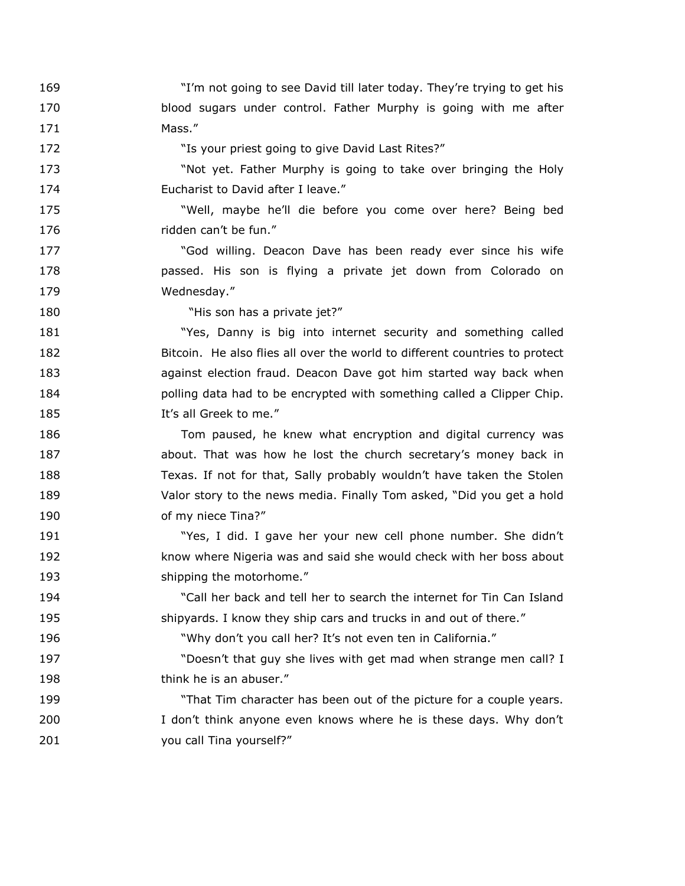"I'm not going to see David till later today. They're trying to get his blood sugars under control. Father Murphy is going with me after 171 Mass."

172 The State of the View of the State of the View Your priest going to give David Last Rites?"

 "Not yet. Father Murphy is going to take over bringing the Holy Eucharist to David after I leave."

 "Well, maybe he'll die before you come over here? Being bed ridden can't be fun."

**Solution** God willing. Deacon Dave has been ready ever since his wife passed. His son is flying a private jet down from Colorado on Wednesday."

**"His son has a private jet?"** 

181 "Yes, Danny is big into internet security and something called Bitcoin. He also flies all over the world to different countries to protect against election fraud. Deacon Dave got him started way back when **polling data had to be encrypted with something called a Clipper Chip.** It's all Greek to me."

 Tom paused, he knew what encryption and digital currency was **about.** That was how he lost the church secretary's money back in Texas. If not for that, Sally probably wouldn't have taken the Stolen Valor story to the news media. Finally Tom asked, "Did you get a hold 190 of my niece Tina?"

 "Yes, I did. I gave her your new cell phone number. She didn't know where Nigeria was and said she would check with her boss about 193 shipping the motorhome."

 "Call her back and tell her to search the internet for Tin Can Island shipyards. I know they ship cars and trucks in and out of there."

"Why don't you call her? It's not even ten in California."

 "Doesn't that guy she lives with get mad when strange men call? I 198 think he is an abuser."

 "That Tim character has been out of the picture for a couple years. 200 I don't think anyone even knows where he is these days. Why don't you call Tina yourself?"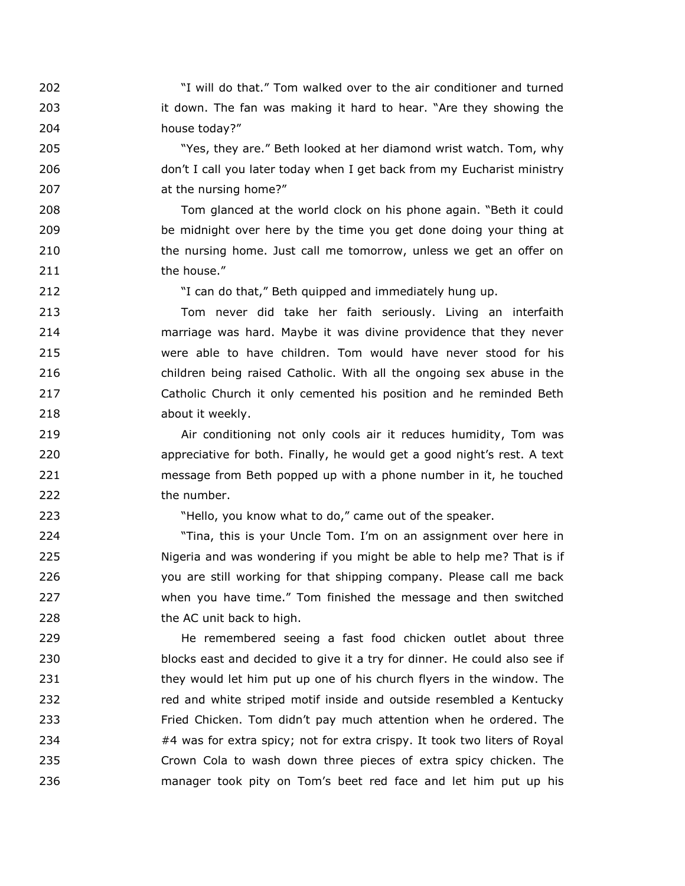"I will do that." Tom walked over to the air conditioner and turned it down. The fan was making it hard to hear. "Are they showing the house today?"

 "Yes, they are." Beth looked at her diamond wrist watch. Tom, why don't I call you later today when I get back from my Eucharist ministry at the nursing home?"

 Tom glanced at the world clock on his phone again. "Beth it could be midnight over here by the time you get done doing your thing at the nursing home. Just call me tomorrow, unless we get an offer on 211 the house."

"I can do that," Beth quipped and immediately hung up.

 Tom never did take her faith seriously. Living an interfaith marriage was hard. Maybe it was divine providence that they never were able to have children. Tom would have never stood for his children being raised Catholic. With all the ongoing sex abuse in the Catholic Church it only cemented his position and he reminded Beth about it weekly.

 Air conditioning not only cools air it reduces humidity, Tom was appreciative for both. Finally, he would get a good night's rest. A text message from Beth popped up with a phone number in it, he touched the number.

"Hello, you know what to do," came out of the speaker.

 "Tina, this is your Uncle Tom. I'm on an assignment over here in Nigeria and was wondering if you might be able to help me? That is if you are still working for that shipping company. Please call me back when you have time." Tom finished the message and then switched 228 the AC unit back to high.

 He remembered seeing a fast food chicken outlet about three blocks east and decided to give it a try for dinner. He could also see if **they would let him put up one of his church flyers in the window. The**  red and white striped motif inside and outside resembled a Kentucky Fried Chicken. Tom didn't pay much attention when he ordered. The #4 was for extra spicy; not for extra crispy. It took two liters of Royal Crown Cola to wash down three pieces of extra spicy chicken. The manager took pity on Tom's beet red face and let him put up his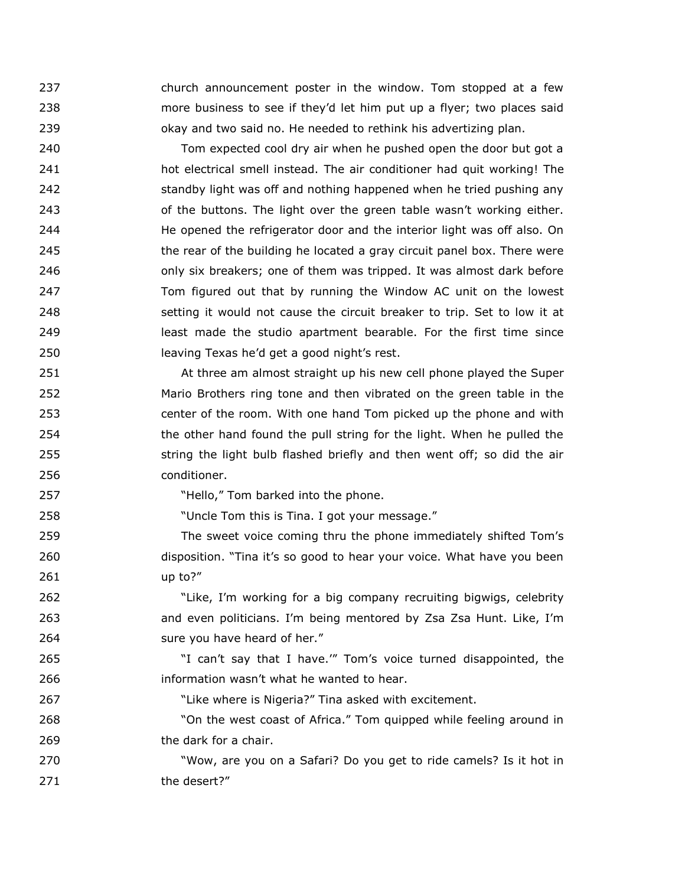church announcement poster in the window. Tom stopped at a few more business to see if they'd let him put up a flyer; two places said okay and two said no. He needed to rethink his advertizing plan.

 Tom expected cool dry air when he pushed open the door but got a hot electrical smell instead. The air conditioner had quit working! The standby light was off and nothing happened when he tried pushing any of the buttons. The light over the green table wasn't working either. He opened the refrigerator door and the interior light was off also. On the rear of the building he located a gray circuit panel box. There were **business** only six breakers; one of them was tripped. It was almost dark before Tom figured out that by running the Window AC unit on the lowest setting it would not cause the circuit breaker to trip. Set to low it at least made the studio apartment bearable. For the first time since leaving Texas he'd get a good night's rest.

 At three am almost straight up his new cell phone played the Super Mario Brothers ring tone and then vibrated on the green table in the center of the room. With one hand Tom picked up the phone and with the other hand found the pull string for the light. When he pulled the 255 string the light bulb flashed briefly and then went off; so did the air conditioner.

**Market Clubset 10.** "Hello," Tom barked into the phone.

"Uncle Tom this is Tina. I got your message."

 The sweet voice coming thru the phone immediately shifted Tom's disposition. "Tina it's so good to hear your voice. What have you been up to?"

 "Like, I'm working for a big company recruiting bigwigs, celebrity and even politicians. I'm being mentored by Zsa Zsa Hunt. Like, I'm sure you have heard of her."

 "I can't say that I have.'" Tom's voice turned disappointed, the information wasn't what he wanted to hear.

"Like where is Nigeria?" Tina asked with excitement.

 "On the west coast of Africa." Tom quipped while feeling around in the dark for a chair.

 "Wow, are you on a Safari? Do you get to ride camels? Is it hot in 271 the desert?"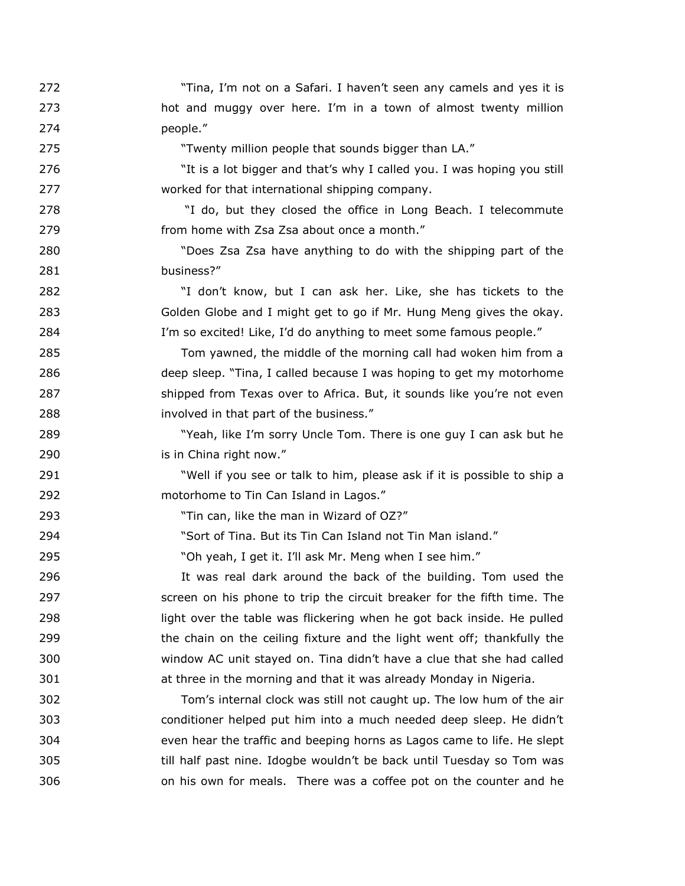"Tina, I'm not on a Safari. I haven't seen any camels and yes it is hot and muggy over here. I'm in a town of almost twenty million people." "Twenty million people that sounds bigger than LA." "It is a lot bigger and that's why I called you. I was hoping you still worked for that international shipping company. "I do, but they closed the office in Long Beach. I telecommute from home with Zsa Zsa about once a month." "Does Zsa Zsa have anything to do with the shipping part of the 281 business?" "I don't know, but I can ask her. Like, she has tickets to the Golden Globe and I might get to go if Mr. Hung Meng gives the okay. I'm so excited! Like, I'd do anything to meet some famous people." Tom yawned, the middle of the morning call had woken him from a deep sleep. "Tina, I called because I was hoping to get my motorhome 287 shipped from Texas over to Africa. But, it sounds like you're not even involved in that part of the business." "Yeah, like I'm sorry Uncle Tom. There is one guy I can ask but he is in China right now." "Well if you see or talk to him, please ask if it is possible to ship a motorhome to Tin Can Island in Lagos." "Tin can, like the man in Wizard of OZ?" "Sort of Tina. But its Tin Can Island not Tin Man island." "Oh yeah, I get it. I'll ask Mr. Meng when I see him." It was real dark around the back of the building. Tom used the 297 Screen on his phone to trip the circuit breaker for the fifth time. The light over the table was flickering when he got back inside. He pulled the chain on the ceiling fixture and the light went off; thankfully the window AC unit stayed on. Tina didn't have a clue that she had called at three in the morning and that it was already Monday in Nigeria. Tom's internal clock was still not caught up. The low hum of the air conditioner helped put him into a much needed deep sleep. He didn't even hear the traffic and beeping horns as Lagos came to life. He slept till half past nine. Idogbe wouldn't be back until Tuesday so Tom was on his own for meals. There was a coffee pot on the counter and he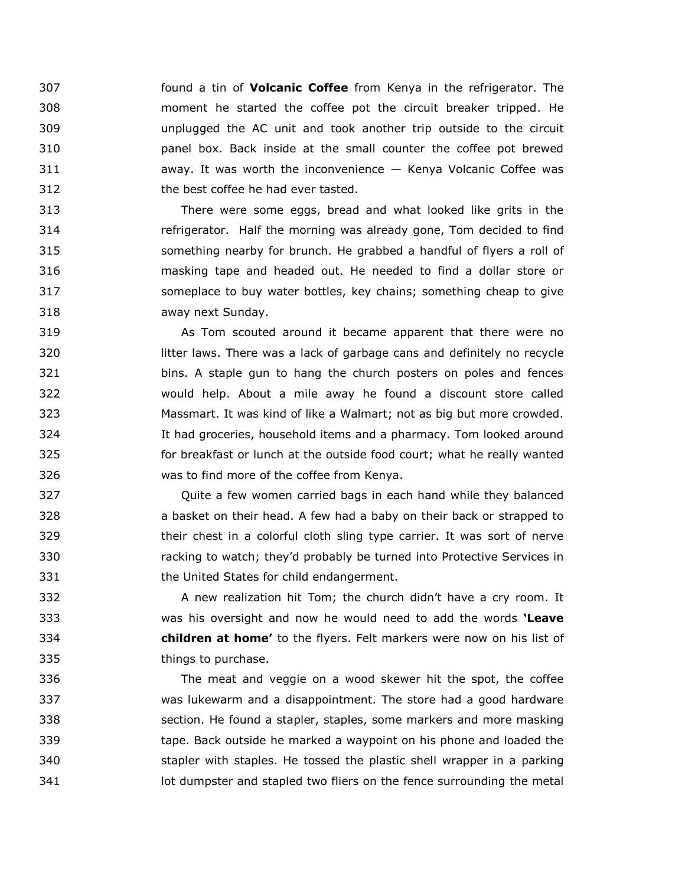found a tin of **Volcanic Coffee** from Kenya in the refrigerator. The moment he started the coffee pot the circuit breaker tripped. He unplugged the AC unit and took another trip outside to the circuit panel box. Back inside at the small counter the coffee pot brewed away. It was worth the inconvenience — Kenya Volcanic Coffee was the best coffee he had ever tasted.

 There were some eggs, bread and what looked like grits in the refrigerator. Half the morning was already gone, Tom decided to find something nearby for brunch. He grabbed a handful of flyers a roll of masking tape and headed out. He needed to find a dollar store or someplace to buy water bottles, key chains; something cheap to give away next Sunday.

 As Tom scouted around it became apparent that there were no litter laws. There was a lack of garbage cans and definitely no recycle bins. A staple gun to hang the church posters on poles and fences would help. About a mile away he found a discount store called Massmart. It was kind of like a Walmart; not as big but more crowded. It had groceries, household items and a pharmacy. Tom looked around for breakfast or lunch at the outside food court; what he really wanted was to find more of the coffee from Kenya.

 Quite a few women carried bags in each hand while they balanced a basket on their head. A few had a baby on their back or strapped to their chest in a colorful cloth sling type carrier. It was sort of nerve racking to watch; they'd probably be turned into Protective Services in the United States for child endangerment.

 A new realization hit Tom; the church didn't have a cry room. It was his oversight and now he would need to add the words **'Leave children at home'** to the flyers. Felt markers were now on his list of things to purchase.

 The meat and veggie on a wood skewer hit the spot, the coffee was lukewarm and a disappointment. The store had a good hardware section. He found a stapler, staples, some markers and more masking tape. Back outside he marked a waypoint on his phone and loaded the stapler with staples. He tossed the plastic shell wrapper in a parking **Interpreter and stapled two fliers on the fence surrounding the metal**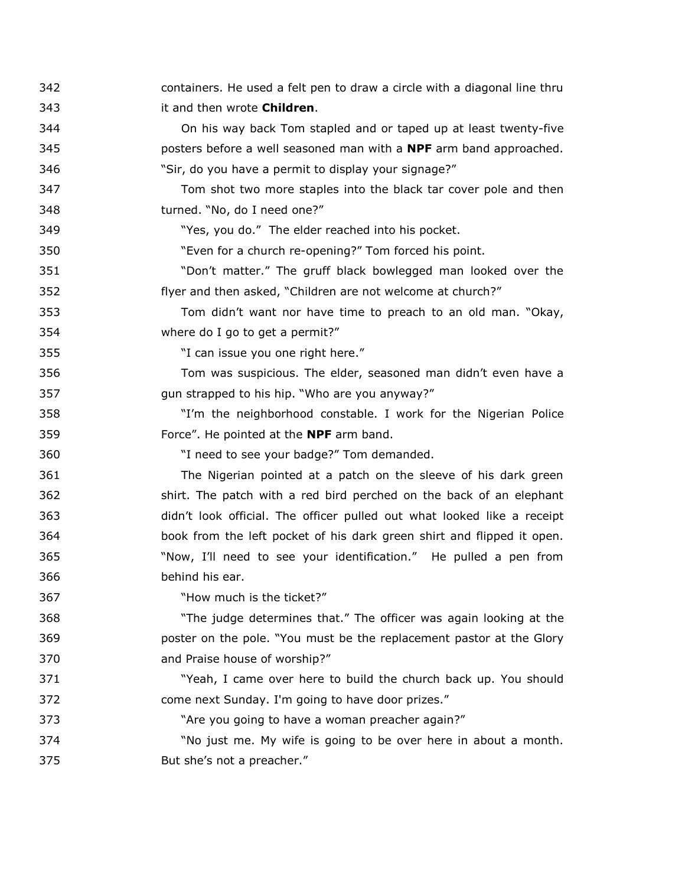| 342 | containers. He used a felt pen to draw a circle with a diagonal line thru |
|-----|---------------------------------------------------------------------------|
| 343 | it and then wrote Children.                                               |
| 344 | On his way back Tom stapled and or taped up at least twenty-five          |
| 345 | posters before a well seasoned man with a <b>NPF</b> arm band approached. |
| 346 | "Sir, do you have a permit to display your signage?"                      |
| 347 | Tom shot two more staples into the black tar cover pole and then          |
| 348 | turned. "No, do I need one?"                                              |
| 349 | "Yes, you do." The elder reached into his pocket.                         |
| 350 | "Even for a church re-opening?" Tom forced his point.                     |
| 351 | "Don't matter." The gruff black bowlegged man looked over the             |
| 352 | flyer and then asked, "Children are not welcome at church?"               |
| 353 | Tom didn't want nor have time to preach to an old man. "Okay,             |
| 354 | where do I go to get a permit?"                                           |
| 355 | "I can issue you one right here."                                         |
| 356 | Tom was suspicious. The elder, seasoned man didn't even have a            |
| 357 | gun strapped to his hip. "Who are you anyway?"                            |
| 358 | "I'm the neighborhood constable. I work for the Nigerian Police           |
| 359 | Force". He pointed at the <b>NPF</b> arm band.                            |
| 360 | "I need to see your badge?" Tom demanded.                                 |
| 361 | The Nigerian pointed at a patch on the sleeve of his dark green           |
| 362 | shirt. The patch with a red bird perched on the back of an elephant       |
| 363 | didn't look official. The officer pulled out what looked like a receipt   |
| 364 | book from the left pocket of his dark green shirt and flipped it open.    |
| 365 | "Now, I'll need to see your identification." He pulled a pen from         |
| 366 | behind his ear.                                                           |
| 367 | "How much is the ticket?"                                                 |
| 368 | "The judge determines that." The officer was again looking at the         |
| 369 | poster on the pole. "You must be the replacement pastor at the Glory      |
| 370 | and Praise house of worship?"                                             |
| 371 | "Yeah, I came over here to build the church back up. You should           |
| 372 | come next Sunday. I'm going to have door prizes."                         |
| 373 | "Are you going to have a woman preacher again?"                           |
| 374 | "No just me. My wife is going to be over here in about a month.           |
| 375 | But she's not a preacher."                                                |